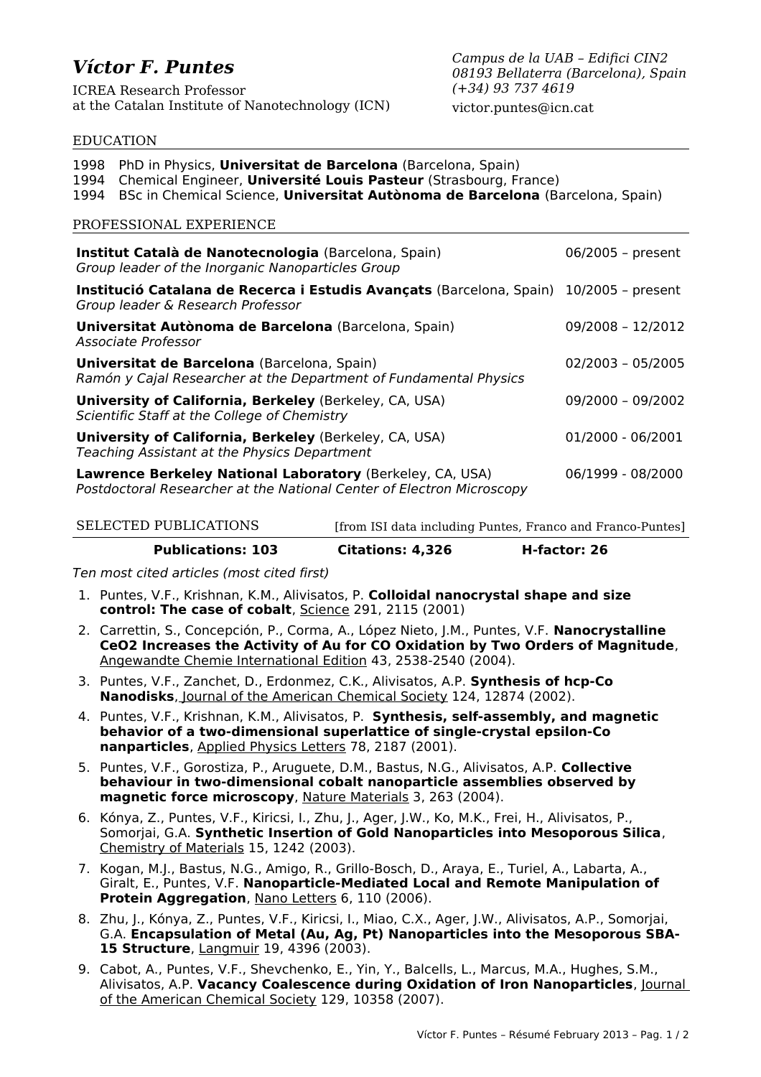# *Víctor F. Puntes*

ICREA Research Professor at the Catalan Institute of Nanotechnology (ICN) *Campus de la UAB – Edifici CIN2 08193 Bellaterra (Barcelona), Spain (+34) 93 737 4619*

victor.puntes@icn.cat

#### EDUCATION

| 1998<br>PhD in Physics, <b>Universitat de Barcelona</b> (Barcelona, Spain)<br>Chemical Engineer, Université Louis Pasteur (Strasbourg, France)<br>1994<br>BSc in Chemical Science, Universitat Autònoma de Barcelona (Barcelona, Spain)<br>1994<br>PROFESSIONAL EXPERIENCE |                     |
|----------------------------------------------------------------------------------------------------------------------------------------------------------------------------------------------------------------------------------------------------------------------------|---------------------|
| Institut Català de Nanotecnologia (Barcelona, Spain)<br>Group leader of the Inorganic Nanoparticles Group                                                                                                                                                                  | 06/2005 - present   |
| Institució Catalana de Recerca i Estudis Avançats (Barcelona, Spain)<br>Group leader & Research Professor                                                                                                                                                                  | $10/2005$ – present |
| Universitat Autònoma de Barcelona (Barcelona, Spain)<br>Associate Professor                                                                                                                                                                                                | 09/2008 - 12/2012   |
| <b>Universitat de Barcelona</b> (Barcelona, Spain)<br>Ramón y Cajal Researcher at the Department of Fundamental Physics                                                                                                                                                    | 02/2003 - 05/2005   |
| University of California, Berkeley (Berkeley, CA, USA)<br>Scientific Staff at the College of Chemistry                                                                                                                                                                     | 09/2000 - 09/2002   |
| <b>University of California, Berkeley</b> (Berkeley, CA, USA)<br>Teaching Assistant at the Physics Department                                                                                                                                                              | 01/2000 - 06/2001   |
| Lawrence Berkeley National Laboratory (Berkeley, CA, USA)<br>Postdoctoral Researcher at the National Center of Electron Microscopy                                                                                                                                         | 06/1999 - 08/2000   |

## SELECTED PUBLICATIONS [from ISI data including Puntes, Franco and Franco-Puntes]

**Publications: 103 Citations: 4,326 H-factor: 26**

Ten most cited articles (most cited first)

- 1. Puntes, V.F., Krishnan, K.M., Alivisatos, P. **Colloidal nanocrystal shape and size control: The case of cobalt**, Science 291, 2115 (2001)
- 2. Carrettin, S., Concepción, P., Corma, A., López Nieto, J.M., Puntes, V.F. **Nanocrystalline CeO2 Increases the Activity of Au for CO Oxidation by Two Orders of Magnitude**, Angewandte Chemie International Edition 43, 2538-2540 (2004).
- 3. Puntes, V.F., Zanchet, D., Erdonmez, C.K., Alivisatos, A.P. **Synthesis of hcp-Co Nanodisks**, Journal of the American Chemical Society 124, 12874 (2002).
- 4. Puntes, V.F., Krishnan, K.M., Alivisatos, P. **Synthesis, self-assembly, and magnetic behavior of a two-dimensional superlattice of single-crystal epsilon-Co nanparticles**, Applied Physics Letters 78, 2187 (2001).
- 5. Puntes, V.F., Gorostiza, P., Aruguete, D.M., Bastus, N.G., Alivisatos, A.P. **Collective behaviour in two-dimensional cobalt nanoparticle assemblies observed by magnetic force microscopy**, Nature Materials 3, 263 (2004).
- 6. Kónya, Z., Puntes, V.F., Kiricsi, I., Zhu, J., Ager, J.W., Ko, M.K., Frei, H., Alivisatos, P., Somorjai, G.A. **Synthetic Insertion of Gold Nanoparticles into Mesoporous Silica**, Chemistry of Materials 15, 1242 (2003).
- 7. Kogan, M.J., Bastus, N.G., Amigo, R., Grillo-Bosch, D., Araya, E., Turiel, A., Labarta, A., Giralt, E., Puntes, V.F. **Nanoparticle-Mediated Local and Remote Manipulation of Protein Aggregation**, Nano Letters 6, 110 (2006).
- 8. Zhu, J., Kónya, Z., Puntes, V.F., Kiricsi, I., Miao, C.X., Ager, J.W., Alivisatos, A.P., Somorjai, G.A. **Encapsulation of Metal (Au, Ag, Pt) Nanoparticles into the Mesoporous SBA-15 Structure**, Langmuir 19, 4396 (2003).
- 9. Cabot, A., Puntes, V.F., Shevchenko, E., Yin, Y., Balcells, L., Marcus, M.A., Hughes, S.M., Alivisatos, A.P. **Vacancy Coalescence during Oxidation of Iron Nanoparticles**, Journal of the American Chemical Society 129, 10358 (2007).